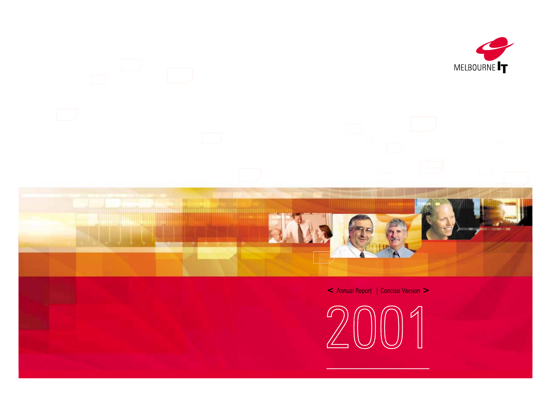



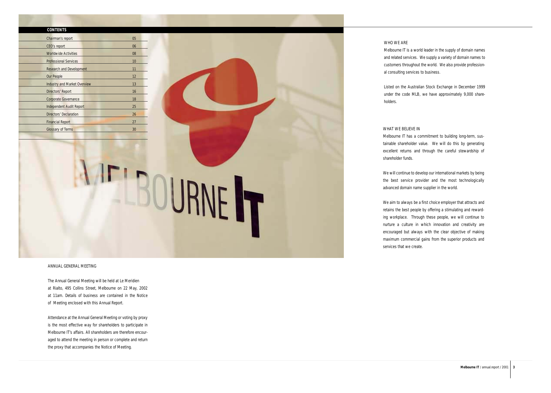### **CONTENTS**

| Chairman's report                   | 05                |
|-------------------------------------|-------------------|
| CEO's report                        | 06                |
| <b>Worldwide Activities</b>         | 08                |
| <b>Professional Services</b>        | 10                |
| <b>Research and Development</b>     | 11                |
| <b>Our People</b>                   | $12 \overline{ }$ |
| <b>Industry and Market Overview</b> | 13                |
| Directors' Report                   | 16                |
| <b>Corporate Governance</b>         | 18                |
| <b>Independent Audit Report</b>     | 25                |
| Directors' Declaration              | 26                |
| <b>Financial Report</b>             | 27                |
| <b>Glossary of Terms</b>            | 30                |

WHO WE ARE

Melbourne IT is a world leader in the supply of domain names and related services. We supply a variety of domain names to customers throughout the world. We also provide professional consulting services to business.

Listed on the Australian Stock Exchange in December 1999 under the code MLB, we have approximately 9,000 share-

holders.

WHAT WE BELIEVE IN shareholder funds.

Melbourne IT has a commitment to building long-term, sustainable shareholder value. We will do this by generating excellent returns and through the careful stewardship of

We will continue to develop our international markets by being the best service provider and the most technologically advanced domain name supplier in the world.

We aim to always be a first choice employer that attracts and retains the best people by offering a stimulating and rewarding workplace. Through these people, we will continue to nurture a culture in which innovation and creativity are encouraged but always with the clear objective of making maximum commercial gains from the superior products and

services that we create.

ANNUAL GENERAL MEETING

The Annual General Meeting will be held at Le Meridien at Rialto, 495 Collins Street, Melbourne on 22 May, 2002 at 11am. Details of business are contained in the Notice of Meeting enclosed with this Annual Report.

IF'SOURNE

Attendance at the Annual General Meeting or voting by proxy is the most effective way for shareholders to participate in Melbourne IT's affairs. All shareholders are therefore encouraged to attend the meeting in person or complete and return the proxy that accompanies the Notice of Meeting.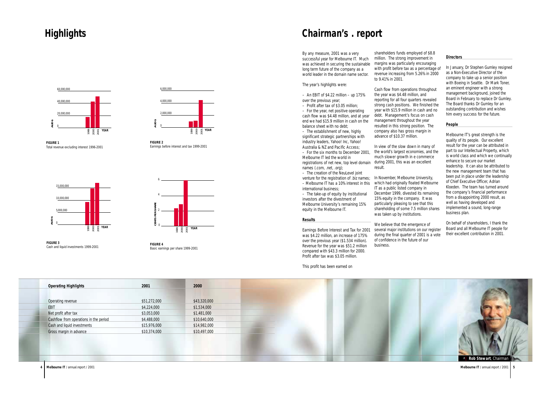By any measure, 2001 was a very successful year for Melbourne IT. Much was achieved in securing the sustainable long term future of the company as a world leader in the domain name sector.

 $-$  An EBIT of \$4.22 million  $-$  up 175% over the previous year;

The year's highlights were:

– Profit after tax of \$3.05 million;

– For the year, net positive operating cash flow was \$4.48 million, and at year end we had \$15.9 million in cash on the balance sheet with no debt;

– The establishment of new, highly significant strategic partnerships with industry leaders, Yahoo! Inc, Yahoo! Australia & NZ and Pacific Access;

– For the six months to December 2001, Melbourne IT led the world in registrations of net new, top level domain names (.com, .net, .org);

– The creation of the NeuLevel joint venture for the registration of .biz names; In November, Melbourne University, – Melbourne IT has a 10% interest in this international business;

– The take-up of equity by institutional investors after the divestment of Melbourne University's remaining 15% equity in the Melbourne IT.

### *Results*

Earnings Before Interest and Tax for 2001 was \$4.22 million, an increase of 175% over the previous year (\$1.534 million). Revenue for the year was \$51.2 million compared with \$43.3 million for 2000. Profit after tax was \$3.05 million.

This profit has been earned on

shareholders funds employed of \$8.8 million. The strong improvement in margins was particularly encouraging with profit before tax as a percentage of revenue increasing from 5.26% in 2000 to 9.41% in 2001.

Cash flow from operations throughout the year was \$4.48 million, and reporting for all four quarters revealed strong cash positions. We finished the year with \$15.9 million in cash and no debt. Management's focus on cash management throughout the year resulted in this strong position. The company also has gross margin in advance of \$10.37 million.

*Operating Highlights* **2001 2000** Operating revenue \$51,272,000 \$43,320,000 EBIT \$4,224,000 \$1,534,000 Net profit after tax  $$3,053,000$   $$1,481,000$ Cashflow from operations in the period  $$4,488,000$   $$10,640,000$ Cash and liquid investments \$15,976,000 \$14,982,000 Gross margin in advance  $$10,374,000$   $$10,497,000$ 

In view of the slow down in many of the world's largest economies, and the much slower growth in e commerce during 2001, this was an excellent result.

which had originally floated Melbourne IT as a public listed company in December 1999, divested its remaining 15% equity in the company. It was particularly pleasing to see that this shareholding of some 7.5 million shares was taken up by institutions.

We believe that the emergence of several major institutions on our register during the final quarter of 2001 is a vote of confidence in the future of our business.

# *Directors*

In January, Dr Stephen Gumley resigned as a Non-Executive Director of the company to take up a senior position with Boeing in Seattle. Dr Mark Toner, an eminent engineer with a strong management background, joined the Board in February to replace Dr Gumley. The Board thanks Dr Gumley for an outstanding contribution and wishes him every success for the future.

## *People*

Melbourne IT's great strength is the quality of its people. Our excellent result for the year can be attributed in part to our Intellectual Property, which is world class and which we continually enhance to secure our market leadership. It can also be attributed to the new management team that has been put in place under the leadership of Chief Executive Officer, Adrian Kloeden. The team has turned around the company's financial performance from a disappointing 2000 result, as well as having developed and implemented a sound, long-range business plan.

On behalf of shareholders, I thank the Board and all Melbourne IT people for their excellent contribution in 2001.



# <span id="page-2-0"></span>**Highlights**

# **Chairman's . report**















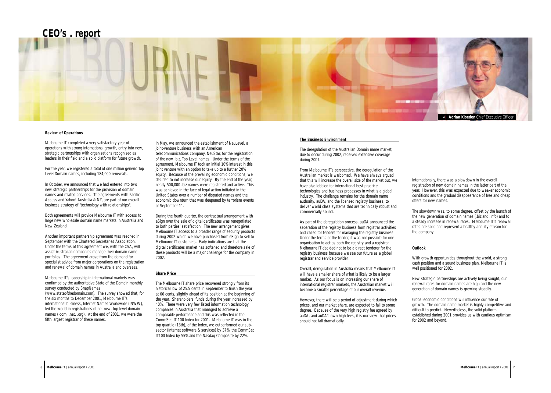# *The Business Environment*

The deregulation of the Australian Domain name market, due to occur during 2002, received extensive coverage during 2001.

From Melbourne IT's perspective, the deregulation of the Australian market is welcomed. We have always argued that this will increase the overall size of the market but, we have also lobbied for international best practice technologies and business processes in what is a global industry. The challenge remains for the domain name authority, auDA, and the licensed registry business, to deliver world class systems that are technically robust and commercially sound.

As part of the deregulation process, auDA announced the separation of the registry business from registrar activities and called for tenders for managing the registry business. Under the terms of the tender, it was not possible for one organisation to act as both the registry and a registrar. Melbourne IT decided not to be a direct tenderer for the registry business because we see our future as a global registrar and service provider.

Overall, deregulation in Australia means that Melbourne IT will have a smaller share of what is likely to be a larger market. As our focus is on increasing our share of international registrar markets, the Australian market will become a smaller percentage of our overall revenue.

However, there will be a period of adjustment during which prices, and our market share, are expected to fall to some degree. Because of the very high registry fee agreed by auDA, and auDA's own high fees, it is our view that prices should not fall dramatically.

Internationally, there was a slowdown in the overall registration of new domain names in the latter part of the year. However, this was expected due to weaker economic conditions and the gradual disappearance of free and cheap offers for new names.

The slowdown was, to some degree, offset by the launch of the new generation of domain names (.biz and .info) and to a steady increase in renewal rates. Melbourne IT's renewal rates are solid and represent a healthy annuity stream for the company.

# *Outlook*

With growth opportunities throughout the world, a strong cash position and a sound business plan, Melbourne IT is well positioned for 2002.

New strategic partnerships are actively being sought, our renewal rates for domain names are high and the new generation of domain names is growing steadily.

Global economic conditions will influence our rate of growth. The domain name market is highly competitive and difficult to predict. Nevertheless, the solid platform established during 2001 provides us with cautious optimism for 2002 and beyond.

## *Review of Operations*

Melbourne IT completed a very satisfactory year of operations with strong international growth, entry into new, strategic partnerships with organisations recognised as leaders in their field and a solid platform for future growth.

For the year, we registered a total of one million generic Top Level Domain names, including 184,000 renewals.

In October, we announced that we had entered into two new strategic partnerships for the provision of domain names and related services. The agreements with Pacific Access and Yahoo! Australia & NZ, are part of our overall business strategy of "technology with relationships".

Both agreements will provide Melbourne IT with access to large new wholesale domain name markets in Australia and New Zealand.

Another important partnership agreement was reached in September with the Chartered Secretaries Association. Under the terms of this agreement we, with the CSA, will assist Australian companies manage their domain name portfolios. The agreement arose from the demand for specialist advice from major corporations on the registration and renewal of domain names in Australia and overseas.

Melbourne IT's leadership in international markets was confirmed by the authoritative State of the Domain monthly survey conducted by SnapNames (www.stateofthedomain.com). The survey showed that, for the six months to December 2001, Melbourne IT's international business, Internet Names Worldwide (INWW), led the world in registrations of net new, top level domain names (.com, .net, .org). At the end of 2001, we were the fifth largest registrar of these names.

In May, we announced the establishment of NeuLevel, a joint-venture business with an American

telecommunications company, NeuStar, for the registration of the new .biz, Top Level names. Under the terms of the agreement, Melbourne IT took an initial 10% interest in this joint venture with an option to take up to a further 20% equity. Because of the prevailing economic conditions, we decided to not increase our equity. By the end of the year, nearly 500,000 .biz names were registered and active. This was achieved in the face of legal action initiated in the United States over a number of disputed names and the economic downturn that was deepened by terrorism events of September 11.

During the fourth quarter, the contractual arrangement with eSign over the sale of digital certificates was renegotiated to both parties' satisfaction. The new arrangement gives Melbourne IT access to a broader range of security products during 2002 which we have purchased from eSign to sell to Melbourne IT customers. Early indications are that the digital certificates market has softened and therefore sale of these products will be a major challenge for the company in 2002.

#### *Share Price*

The Melbourne IT share price recovered strongly from its historical low of 25.5 cents in September to finish the year at 66 cents, slightly ahead of its position at the beginning of the year. Shareholders' funds during the year increased by 40%. There were very few listed information technology companies in Australia that managed to achieve a comparable performance and this was reflected in the CommSec IT 100 Index for 2001. Melbourne IT was in the top quartile (13th), of the Index, we outperformed our subsector (Internet software & services) by 37%, the CommSec IT100 Index by 55% and the Nasdaq Composite by 22%.

# **CEO's . report**

<span id="page-3-0"></span>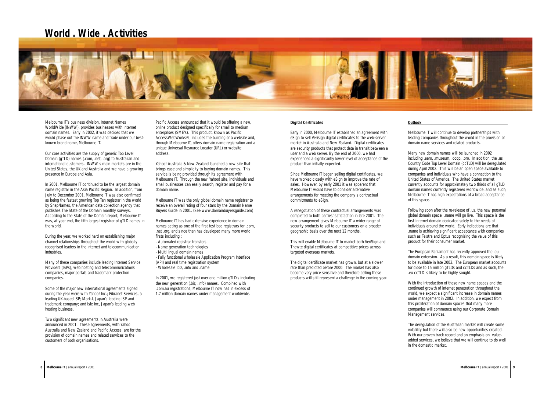# *Outlook*

Melbourne IT will continue to develop partnerships with leading companies throughout the world in the provision of domain name services and related products.

Many new domain names will be launched in 2002 including .aero, .museum, .coop, .pro. In addition, the .us Country Code Top Level Domain (ccTLD) will be deregulated during April 2002. This will be an open space available to companies and individuals who have a connection to the United States of America. The United States market currently accounts for approximately two thirds of all gTLD domain names currently registered worldwide, and as such, Melbourne IT has high expectations of a broad acceptance of this space.

Following soon after the re-release of .us, the new personal global domain space .name will go live. This space is the first Internet domain dedicated solely to the needs of individuals around the world. Early indications are that .name is achieving significant acceptance with companies such as Telstra and Optus recognising the value of this product for their consumer market.

The European Parliament has recently approved the .eu domain extension. As a result, this domain space is likely to be available in late 2002. The European market accounts for close to 15 million gTLDs and ccTLDs and as such, the .eu ccTLD is likely to be highly sought.

With the introduction of these new name spaces and the continued growth of internet penetration throughout the world, we expect a significant increase in domain names under management in 2002. In addition, we expect from this proliferation of domain spaces that many more companies will commence using our Corporate Domain Management services.

The deregulation of the Australian market will create some volatility but there will also be new opportunities created. With our proven track record and an emphasis on valueadded services, we believe that we will continue to do well in the domestic market.

Melbourne IT's business division, Internet Names WorldWide (INWW), provides businesses with Internet domain names. Early in 2002, it was decided that we would phase out the INWW name and trade under our bestknown brand name, Melbourne IT.

Our core activities are the supply of generic Top Level Domain (gTLD) names (.com, .net, .org) to Australian and international customers. INWW's main markets are in the United States, the UK and Australia and we have a growing presence in Europe and Asia.

In 2001, Melbourne IT continued to be the largest domain name registrar in the Asia Pacific Region. In addition, from July to December 2001, Melbourne IT was also confirmed as being the fastest growing Top Ten registrar in the world by SnapNames, the American data collection agency that publishes The State of the Domain monthly surveys. According to the State of the Domain report, Melbourne IT was, at year end, the fifth largest registrar of gTLD names in the world.

During the year, we worked hard on establishing major channel relationships throughout the world with globally recognised leaders in the internet and telecommunication industries.

Many of these companies include leading Internet Service Providers (ISPs), web hosting and telecommunications companies, major portals and trademark protection companies.

Some of the major new international agreements signed during the year were with Yahoo! Inc.; Fibranet Services, a leading UK-based ISP; Mark-I, Japan's leading ISP and trademark company; and Isle Inc, Japan's leading web hosting business.

Two significant new agreements in Australia were announced in 2001. These agreements, with Yahoo! Australia and New Zealand and Pacific Access, are for the provision of domain names and related services to the customers of both organisations.

Pacific Access announced that it would be offering a new, online product designed specifically for small to medium enterprises (SME's). This product, known as Pacific AccessWebWorks®, includes the building of a website and, through Melbourne IT, offers domain name registration and a unique Universal Resource Locator (URL) or website address.

Yahoo! Australia & New Zealand launched a new site that brings ease and simplicity to buying domain names. This service is being provided through its agreement with Melbourne IT. Through the new Yahoo! site, individuals and small businesses can easily search, register and pay for a domain name.

Melbourne IT was the only global domain name registrar to receive an overall rating of four stars by the Domain Name Buyers Guide in 2001. (See www.domainbuyersguide.com)

Melbourne IT has had extensive experience in domain names acting as one of the first test bed registrars for .com, .net .org, and since then has developed many more world firsts including :

- Automated registrar transfers
- Name generation technologies
- Multi lingual domain names
- Fully functional wholesale Application Program Interface
- (API) and real time registration system
- Wholesale .biz, .info and .name

In 2001, we registered just over one million gTLD's including the new generation (.biz, .info) names. Combined with .com.au registrations, Melbourne IT now has in excess of 1.7 million domain names under management worldwide.

### *Digital Certificates*

Early in 2000, Melbourne IT established an agreement with eSign to sell Verisign digital certificates to the web-server market in Australia and New Zealand. Digital certificates are security products that protect data in transit between a user and a web server. By the end of 2000, we had experienced a significantly lower level of acceptance of the product than initially expected.

Since Melbourne IT began selling digital certificates, we have worked closely with eSign to improve the rate of sales. However, by early 2001 it was apparent that Melbourne IT would have to consider alternative arrangements for meeting the company's contractual commitments to eSign.

A renegotiation of these contractual arrangements was completed to both parties' satisfaction in late 2001. The new arrangement gives Melbourne IT a wider range of security products to sell to our customers on a broader geographic basis over the next 12 months.

This will enable Melbourne IT to market both VeriSign and Thawte digital certificates at competitive prices across targeted overseas markets.

The digital certificate market has grown, but at a slower rate than predicted before 2000. The market has also become very price sensitive and therefore selling these products will still represent a challenge in the coming year.

# **World . Wide . Activities**

<span id="page-4-0"></span>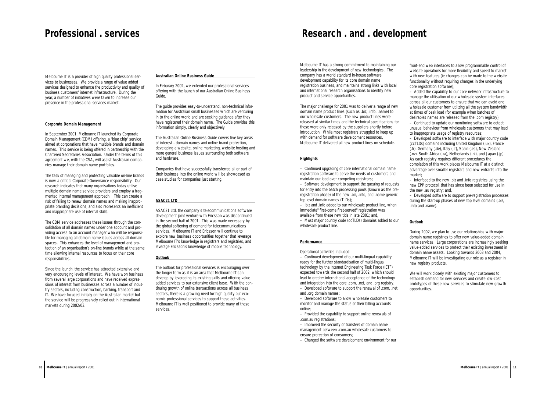Melbourne IT has a strong commitment to maintaining our leadership in the development of new technologies. The company has a world standard in-house software development capability for its core domain name registration business, and maintains strong links with local and international research organisations to identify new product and service opportunities.

The major challenge for 2001 was to deliver a range of new domain name product lines (such as .biz, .info, .name) to our wholesale customers. The new product lines were released at similar times and the technical specifications for these were only released by the suppliers shortly before introduction. While most registrars struggled to keep up with demand for software development resources, Melbourne IT delivered all new product lines on schedule.

#### *Highlights*

– Continued upgrading of core international domain name registration software to serve the needs of customers and maintain our lead over competing registrars;

– Software development to support the queuing of requests for entry into the batch processing pools (known as the preregistration phase) of the new .biz, .info, and .name generic top level domain names (TLDs);

front-end web interfaces to allow programmable control of website operations for more flexibility and speed to market with new features (ie changes can be made to the website functionality without requiring changes in the underlying core registration software);

– .biz and .info added to our wholesale product line, when immediate" first-come first-served" registration was available from these new tlds in late 2001; and,

– Most major country code (ccTLDs) domains added to our wholesale product line.

#### *Performance*

Operational activities included:

– Continued development of our multi-lingual capability ready for the further standardisation of multi-lingual technology by the Internet Engineering Task Force (IETF) expected towards the second half of 2002, which should lead to greater international acceptance of the technology and integration into the core .com, .net, and .org registry; – Developed software to support the renewal of .com, .net,

and .org domain names;

– Developed software to allow wholesale customers to monitor and manage the status of their billing accounts online;

– Provided the capability to support online renewals of .com.au registrations;

– Improved the security of transfers of domain name management between .com.au wholesale customers to ensure protection of consumers;

– Changed the software development environment for our

# **Research . and . development**

– Added the capability to our core network infrastructure to manage the utilisation of our wholesale system interfaces across all our customers to ensure that we can avoid one wholesale customer from utilizing all the system bandwidth at times of peak load (for example when batches of desirables names are released from the .com registry);

– Continued to update our monitoring software to detect unusual behaviour from wholesale customers that may lead to inappropriate usage of registry resources;

– Developed software to interface with major country code (ccTLDs) domains including United Kingdom (.uk), France (.fr), Germany (.de), Italy (.it), Spain (.es), New Zealand (.nz), South Africa (.za), Netherlands (.nl), and Japan (.jp). As each registry requires different procedures the completion of this work places Melbourne IT at a distinct advantage over smaller registrars and new entrants into the market;

– Interfaced to the new .biz and .info registries using the new EPP protocol, that has since been selected for use in the new .au registry; and,

– Developed software to support pre-registration processes during the start-up phases of new top level domains (.biz, .info and .name).

# *Outlook*

During 2002, we plan to use our relationships with major domain name registries to offer new value-added domain name services. Large corporations are increasingly seeking value-added services to protect their existing investment in domain name assets. Looking towards 2003 and 2004, Melbourne IT will be investigating our role as a registrar in new registry products.

We will work closely with existing major customers to establish demand for new services and create low-cost prototypes of these new services to stimulate new growth opportunities.

Melbourne IT is a provider of high quality professional services to businesses. We provide a range of value added services designed to enhance the productivity and quality of business customers' internet infrastructure. During the year, a number of initiatives were taken to increase our presence in the professional services market.

## *Corporate Domain Management*

In September 2001, Melbourne IT launched its Corporate Domain Management (CDM) offering, a "blue chip" service aimed at corporations that have multiple brands and domain names. This service is being offered in partnership with the Chartered Secretaries Association. Under the terms of this agreement we, with the CSA, will assist Australian companies manage their domain name portfolios.

The task of managing and protecting valuable on-line brands is now a critical Corporate Governance responsibility. Our research indicates that many organisations today utilise multiple domain name service providers and employ a fragmented internal management approach. This can create a risk of failing to renew domain names and making inappropriate branding decisions, and also represents an inefficient and inappropriate use of internal skills.

The CDM service addresses these issues through the consolidation of all domain names under one account and providing access to an account manager who will be responsible for managing all domain name issues across all domain spaces. This enhances the level of management and protection of an organisation's on-line brands while at the same time allowing internal resources to focus on their core responsibilities.

Since the launch, the service has attracted extensive and very encouraging levels of interest. We have won business from several large corporations and have received expressions of interest from businesses across a number of industry sectors, including construction, banking, transport and IT. We have focused initially on the Australian market but the service will be progressively rolled out in international markets during 2002/03.

### *Australian Online Business Guide*

In Feburary 2002, we extended our professional services offering with the launch of our Australian Online Business Guide.

The guide provides easy-to-understand, non-technical information for Australian small businesses which are venturing in to the online world and are seeking guidance after they have registered their domain name. The Guide provides this information simply, clearly and objectively.

The Australian Online Business Guide covers five key areas of interest - domain names and online brand protection, developing a website, online marketing, website hosting and more general business issues surrounding both software and hardware.

Companies that have successfully transferred all or part of their business into the online world will be showcased as case studies for companies just starting.

## *ASAC21 LTD*

ASAC21 Ltd, the company's telecommunications software development joint venture with Ericsson was discontinued in the second half of 2001. This was made necessary by the global softening of demand for telecommunications services. Melbourne IT and Ericsson will continue to explore new business opportunities together that leverage Melbourne IT's knowledge in registrars and registries, and leverage Ericsson's knowledge of mobile technology.

## *Outlook*

The outlook for professional services is encouraging over the longer term as it is an area that Melbourne IT can develop by leveraging its existing skills and offering value added services to our extensive client base. With the continuing growth of online transactions across all business sectors, there is a growing need for high quality but economic professional services to support these activities. Melbourne IT is well positioned to provide many of these services.

# <span id="page-5-0"></span>**Professional . services**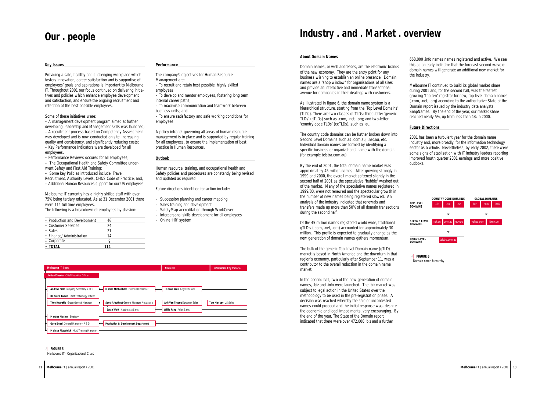#### *Key Issues*

Providing a safe, healthy and challenging workplace which fosters innovation, career satisfaction and is supportive of employees' goals and aspirations is important to Melbourne IT. Throughout 2001 our focus continued on delivering initiatives and policies which enhance employee development and satisfaction, and ensure the ongoing recruitment and retention of the best possible employees.

Some of these initiatives were:

– A management development program aimed at further developing Leadership and Management skills was launched; – A recuitment process based on Competency Assessment was developed and is now conducted on site, increasing quality and consistency, and significantly reducing costs;

– Key Performance Indicators were developed for all employees.

– Performance Reviews occured for all employees;

– The Occupational Health and Safety Committee underwent Safety and First Aid Training;

– Some key Policies introduced include: Travel,

Recruitment, Authority Levels, OH&S Code of Practice; and,

– Additional Human Resources support for our US employees

Melbourne IT currently has a highly skilled staff with over 75% being tertiary educated. As at 31 December 2001 there were 114 full time employees.

The following is a breakdown of employees by division:

| • Production and Development | 46  |  |
|------------------------------|-----|--|
| • Customer Services          | 24  |  |
| • Sales                      | 21  |  |
| • Finance/ Administration    | 14  |  |
| • Corporate                  | Q   |  |
| • TOTAL                      | 114 |  |

# *Performance*

The company's objectives for Human Resource Management are:

- To recruit and retain best possible, highly skilled employees;
- To develop and mentor employees, fostering long term internal career paths;

– To maximise communication and teamwork between business units; and

– To ensure satisfactory and safe working conditions for employees.

A policy intranet governing all areas of human resource management is in place and is supported by regular training for all employees, to ensure the implementation of best practice in Human Resources.

### *Outlook*

Human resource, training, and occupational health and Safety policies and procedures are constantly being revised and updated as required.

Future directions identified for action include:

- Succession planning and career mapping
- Sales training and development
- SafetyMap accreditation through WorkCover
- Interpersonal skills development for all employees
- Online 'HR' system

# <span id="page-6-0"></span>**Our . people**



| **FIGURE 5 >** Melbourne IT - Organisational Chart

### *About Domain Names*

Domain names, or web addresses, are the electronic brands of the new economy. They are the entry point for any business wishing to establish an online presence. Domain names are a "shop window" for organisations of all sizes and provide an interactive and immediate transactional avenue for companies in their dealings with customers.

As illustrated in figure 6, the domain name system is a hierarchical structure, starting from the 'Top Level Domains' (TLDs). There are two classes of TLDs: three-letter 'generic TLDs' (gTLDs) such as .com, .net, .org; and two-letter 'country code TLDs' (ccTLDs), such as .au.

The country code domains can be further broken down into Second Level Domains such as .com.au, .net.au, etc. Individual domain names are formed by identifying a specific business or organizational name with the domain (for example telstra.com.au).

By the end of 2001, the total domain name market was approximately 45 million names. After growing strongly in 1999 and 2000, the overall market softened slightly in the second half of 2001 as the speculative "bubble" washed out of the market. Many of the speculative names registered in 1999/00, were not renewed and the spectacular growth in the number of new names being registered slowed. An analysis of the industry indicated that renewals and transfers made up more than 50% of all domain transactions during the second half.

Of the 45 million names registered world wide, traditional gTLD's (.com, .net, .org) accounted for approximately 30 million. This profile is expected to gradually change as the new generation of domain names gathers momentum.

The bulk of the generic Top Level Domain name (gTLD) market is based in North America and the downturn in that region's economy, particularly after September 11, was a contributor to the overall reduction in the domain name market.

In the second half, two of the new generation of domain names, .biz and .info were launched. The .biz market was subject to legal action in the United States over the methodology to be used in the pre-registration phase. A decision was reached whereby the sale of uncontested names could proceed and the initial response was, despite the economic and legal impediments, very encouraging. By the end of the year, The State of the Domain report indicated that there were over 472,000 .biz and a further

668,000 .info names names registered and active. We see this as an early indicator that the forecast second wave of domain names will generate an additional new market for the industry.

Melbourne IT continued to build its global market share during 2001 and, for the second half, was the fastest growing "top ten" registrar for new, top level domain names (.com, .net, .org) according to the authoritative State of the Domain report issued by the industry data analysts, SnapNames. By the end of the year, our market share reached nearly 5%, up from less than 4% in 2000.

# *Future Directions*

2001 has been a turbulent year for the domain name industry and, more broadly, for the information technology sector as a whole. Nevertheless, by early 2002, there were some signs of stablisation with IT industry leaders reporting improved fourth quarter 2001 earnings and more positive outlooks.

# **Industry . and . Market . overview**



| **FIGURE 6 >**

Domain name hierarchy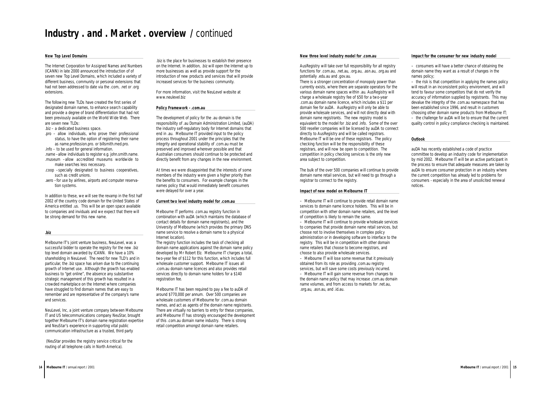.biz is the place for businesses to establish their presence on the Internet. In addition, .biz will open the Internet up to more businesses as well as provide support for the introduction of new products and services that will provide increased services for the business community.

For more information, visit the NeuLevel website at www.neulevel.biz

# *Policy Framework - .com.au*

The development of policy for the .au domain is the responsibility of .au Domain Administration Limited, (auDA) the industry self-regulatory body for Internet domains that end in .au. Melbourne IT provided input to the policy process throughout 2001 under the principles that the integrity and operational stability of .com.au must be preserved and improved wherever possible and that Australian consumers should continue to be protected and directly benefit from any changes in the new environment.

At times we were disappointed that the interests of some members of the industry were given a higher priority than the benefits to consumers. For example changes in the names policy that would immediately benefit consumers were delayed for over a year.

# *Current two level industry model for .com.au*

Melbourne IT performs .com.au registry function in combination with auDA (which maintains the database of contact details for domain name registrants), and the University of Melbourne (which provides the primary DNS name service to resolve a domain name to a physical Internet location).

The registry function includes the task of checking all domain name applications against the domain name policy developed by Mr Robert Elz. Melbourne IT charges a total, two-year fee of \$112 for this function, which includes full wholesale customer support. Melbourne IT issues all .com.au domain name licences and also provides retail services directly to domain name holders for a \$140 registration fee.

Melbourne IT has been required to pay a fee to auDA of around \$770,000 per annum. Over 500 companies are wholesale customers of Melbourne for .com.au domain names, and act as agents of the domain name registrants. There are virtually no barriers to entry for these companies, and Melbourne IT has strongly encouraged the development of this .com.au domain name industry. There is strong retail competition amongst domain name retailers.

# *New Top Level Domains*

The Internet Corporation for Assigned Names and Numbers (ICANN) in late 2000 announced the introduction of of seven new Top Level Domains, which included a variety of different business, community or personal extensions that had not been addressed to date via the .com, .net or .org extensions.

The following new TLDs have created the first series of designated domain names, to enhance search capability and provide a degree of brand differentiation that had not been previously available on the World Wide Web. There are seven new TLDs:

- .biz a dedicated business space.
- .pro allow individuals, who prove their professional status, to have the option of registering their name as name.profession.pro. or billsmith.med.pro.

.info – to be used for general information.

- .name –allow individuals to register e.g. john.smith.name. .museum –allow accredited museums worldwide to
- make searches less necessary. .coop –specially designated to business cooperatives, such as credit unions.
- .aero –for use by airlines, airports and computer reservation systems.

In addition to these, we will see the revamp in the first half 2002 of the country code domain for the United States of America entitled .us. This will be an open space available to companies and inviduals and we expect that there will be strong demand for this new name.

# *.biz*

Melbourne IT's joint venture business, NeuLevel, was a successful bidder to operate the registry for the new .biz top level domain awarded by ICANN. We have a 10% shareholding in NeuLevel. The need for new TLD's and in particular, the .biz space has arisen due to the continuing growth of Internet use. Although the growth has enabled business to "get online", the absence any substantive strategic management of this growth has resulted in a crowded marketplace on the Internet where companies have struggled to find domain names that are easy to remember and are representative of the company's name and services.

NeuLevel, Inc, a joint venture company between Melbourne IT and US telecommunications company NeuStar, brought together Melbourne IT's domain name registration expertise and NeuStar's experience in supporting vital public communication infrastructure as a trusted, third party

(NeuStar provides the registry service critical for the routing of all telephone calls in North America).

# *New three level industry model for .com.au*

AusRegistry will take over full responsibility for all registry functions for .com.au, .net.au, .org.au, .asn.au, .org.au and potentially .edu.au and .gov.au.

There is a stronger concentration of monopoly power than currently exists, where there are separate operators for the various domain name spaces within .au. AusRegistry will charge a wholesale registry fee of \$50 for a two-year .com.au domain name licence, which includes a \$11 per domain fee for auDA. AusRegistry will only be able to provide wholesale services, and will not directly deal with domain name registrants. The new registry model is equivalent to the model for .biz and .info. Some of the over 500 reseller companies will be licensed by auDA to connect directly to AusRegistry and will be called registrars. Melbourne IT will be one of these registrars. The policy checking function will be the responsibility of these registrars, and will now be open to competition. The competition in policy checking services is the only new area subject to competition.

The bulk of the over 500 companies will continue to provide domain name retail services, but will need to go through a registrar to connect to the registry.

# *Impact of new model on Melbourne IT*

– Melbourne IT will continue to provide retail domain name services to domain name licence holders. This will be in competition with other domain name retailers, and the level of competition is likely to remain the same.

– Melbourne IT will continue to provide wholesale services to companies that provide domain name retail services, but choose not to involve themselves in complex policy administration or in developing software to interface to the registry. This will be in competition with other domain name retailers that choose to become registrars, and choose to also provide wholesale services.

– Melbourne IT will lose some revenue that it previously obtained from its role as providing .com.au registry services, but will save some costs previously incurred. – Melbourne IT will gain some revenue from changes to the domain name policy that may increase .com.au domain name volumes, and from access to markets for .net.au, .org.au, .asn.au, and .id.au.

# *Impact for the consumer for new industry model*

– consumers will have a better chance of obtaining the domain name they want as a result of changes in the names policy;

– the risk is that competition in applying the names policy will result in an inconsistent policy environment, and will tend to favour some competitors that do not verify the accuracy of information supplied by registrants. This may devalue the integrity of the .com.au namespace that has been established since 1996, and result in customers choosing other domain name products from Melbourne IT; – the challenge for auDA will be to ensure that the current quality control in policy compliance checking is maintained.

# *Outlook*

auDA has recently established a code of practice committee to develop an industry code for implementation by mid 2002. Melbourne IT will be an active participant in the process to ensure that adequate measures are taken by auDA to ensure consumer protection in an industry where the current competition has already led to problems for consumers - especially in the area of unsolicited renewal notices.

# **Industry . and . Market . overview /** continued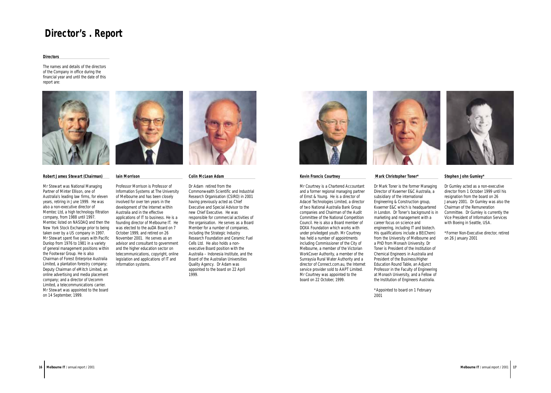# <span id="page-8-0"></span>**Director's . Report**





#### *Directors*

The names and details of the directors of the Company in office during the financial year and until the date of this report are:



#### *Robert James Stewart (Chairman)*

Mr Stewart was National Managing Partner of Minter Ellison, one of Australia's leading law firms, for eleven years, retiring in June 1999. He was also a non-executive director of Memtec Ltd, a high technology filtration company, from 1988 until 1997. Memtec listed on NASDAQ and then the New York Stock Exchange prior to being taken over by a US company in 1997. Mr Stewart spent five years with Pacific Dunlop from 1976 to 1981 in a variety of general management positions within the Footwear Group. He is also Chairman of Forest Enterprise Australia Limited, a plantation forestry company; Deputy Chairman of eMitch Limited, an online advertising and media placement company; and a director of Uecomm Limited, a telecommunications carrier. Mr Stewart was appointed to the board on 14 September, 1999.





Professor Morrison is Professor of Information Systems at The University of Melbourne and has been closely involved for over ten years in the development of the Internet within Australia and in the effective applications of IT to business. He is a founding director of Melbourne IT. He was elected to the auDA Board on 7 October 1999, and retired on 26 November 2001. He serves as an advisor and consultant to government and the higher education sector on telecommunications, copyright, online legislation and applications of IT and information systems.



#### *Colin McLean Adam*

Dr Adam retired from the Commonwealth Scientific and Industrial Research Organisation (CSIRO) in 2001 having previously acted as Chief Executive and Special Advisor to the new Chief Executive. He was responsible for commercial activities of the organisation. He serves as a Board Member for a number of companies, including the Strategic Industry Research Foundation and Ceramic Fuel Cells Ltd. He also holds a nonexecutive Board position with the Australia – Indonesia Institute, and the Board of the Australian Universities Quality Agency. Dr Adam was appointed to the board on 22 April 1999.



#### *Kevin Francis Courtney*

Mr Courtney is a Chartered Accountant and a former regional managing partner of Ernst & Young. He is a director of Adacel Technologies Limited, a director of two National Australia Bank Group companies and Chairman of the Audit Committee of the National Competition Council. He is also a Board member of DOXA Foundation which works with under priviledged youth. Mr Courtney has held a number of appointments including Commissioner of the City of Melbourne, a member of the Victorian WorkCover Authority, a member of the Sunraysia Rural Water Authority and a director of Connect.com.au, the Internet service provider sold to AAPT Limited. Mr Courtney was appointed to the board on 22 October, 1999.



# *Mark Christopher Toner\**

Dr Mark Toner is the former Managing Director of Kvaerner E&C Australia, a subsidiary of the international Engineering & Construction group, Kvaerner E&C which is headquartered in London. Dr Toner's background is in marketing and management with a career focus on science and engineering, including IT and biotech. His qualifications include a BE(Chem) from the University of Melbourne and a PhD from Monash University. Dr Toner is President of the Institution of Chemical Engineers in Australia and President of the Business/Higher Education Round Table, an Adjunct Professor in the Faculty of Engineering at Monash University, and a Fellow of the Institution of Engineers Australia.

\*Appointed to board on 1 February 2001

### *Stephen John Gumley\**

Dr Gumley acted as a non-executive director from 1 October 1999 until his resignation from the board on 26 January 2001. Dr Gumley was also the Chairman of the Remuneration Committee. Dr Gumley is currently the Vice President of Information Services with Boeing in Seattle, USA.

\*Former Non-Executive director, retired on 26 January 2001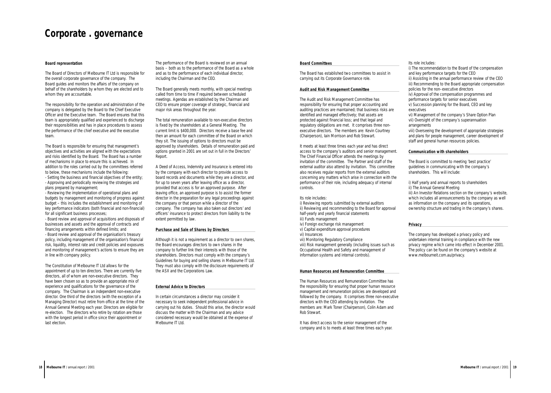Its role includes:

- i) The recommendation to the Board of the compensation and key performance targets for the CEO
- ii) Assisting in the annual performance review of the CEO iii) Recommending to the Board appropriate compensation policies for the non–executive directors
- iv) Approval of the compensation programmes and performance targets for senior executives
- v) Succession planning for the Board, CEO and key executives
- vi) Management of the company's Share Option Plan vii) Oversight of the company's superannuation arrangements
- viii) Overseeing the development of appropriate strategies and plans for people management, career development of staff and general human resources policies.

# *Communication with shareholders*

The Board is committed to meeting 'best practice' guidelines in communicating with the company's shareholders. This will include:

- i) Half yearly and annual reports to shareholders ii) The Annual General Meeting
- iii) An Investor Relations section on the company's website, which includes all announcements by the company as well as information on the company and its operations, ownership structure and trading in the company's shares.

# *Privacy*

The company has developed a privacy policy and undertaken internal training in compliance with the new privacy regime which came into effect in December 2001. The policy can be found on the company's website at www.melbourneit.com.au/privacy.

## *Board representation*

The Board of Directors of Melbourne IT Ltd is responsible for the overall corporate governance of the company. The Board guides and monitors the affairs of the company on behalf of the shareholders by whom they are elected and to whom they are accountable.

The responsibility for the operation and administration of the company is delegated by the Board to the Chief Executive Officer and the Executive team. The Board ensures that this team is appropriately qualified and experienced to discharge their responsibilities and has in place procedures to assess the performance of the chief executive and the executive team.

The Board is responsible for ensuring that management's objectives and activities are aligned with the expectations and risks identified by the Board. The Board has a number of mechanisms in place to ensure this is achieved. In addition to the roles carried out by the committees referred to below, these mechanisms include the following:

- Setting the business and financial objectives of the entity; - Approving and periodically reviewing the strategies and plans prepared by management;

- Reviewing the implementation of operational plans and budgets by management and monitoring of progress against budget – this includes the establishment and monitoring of key performance indicators (both financial and non-financial) for all significant business processes;

- Board review and approval of acquisitions and disposals of businesses and assets and the approval of contracts and financing arrangements within defined limits; and - Board review and approval of the organisation's treasury policy, including management of the organisation's financial risk, liquidity, interest rate and credit policies and exposures and monitoring of management's actions to ensure they are in line with company policy.

The Constitution of Melbourne IT Ltd allows for the appointment of up to ten directors. There are currently five directors, all of whom are non-executive directors. They have been chosen so as to provide an appropriate mix of experience and qualifications for the governance of the company. The Chairman is an independent non-executive director. One third of the directors (with the exception of a Managing Director) must retire from office at the time of the Annual General Meeting each year. Directors are eligible for re-election. The directors who retire by rotation are those with the longest period in office since their appointment or last election.

The performance of the Board is reviewed on an annual basis – both as to the performance of the Board as a whole and as to the performance of each individual director, including the Chairman and the CEO.

The Board generally meets monthly, with special meetings called from time to time if required between scheduled meetings. Agendas are established by the Chairman and CEO to ensure proper coverage of strategic, financial and major risk areas throughout the year.

The total remuneration available to non-executive directors is fixed by the shareholders at a General Meeting. The current limit is \$400,000. Directors receive a base fee and then an amount for each committee of the Board on which they sit. The issuing of options to directors must be approved by shareholders. Details of remuneration paid and options granted in 2001 are set out in full in the Directors' Report.

A Deed of Access, Indemnity and Insurance is entered into by the company with each director to provide access to board records and documents while they are a director, and for up to seven years after leaving office as a director, provided that access is for an approved purpose. After leaving office, an approved purpose is to assist the former director in the preparation for any legal proceedings against the company or that person while a director of the company. The company has also taken out directors' and officers' insurance to protect directors from liability to the extent permitted by law.

# *Purchase and Sale of Shares by Directors*

Although it is not a requirement as a director to own shares, the Board encourages directors to own shares in the company to further link their interests with those of the shareholders. Directors must comply with the company's Guidelines for buying and selling shares in Melbourne IT Ltd. They must also comply with the disclosure requirements of the ASX and the Corporations Law.

# *External Advice to Directors*

In certain circumstances a director may consider it necessary to seek independent professional advice in carrying out his duties. Should this arise, the director would discuss the matter with the Chairman and any advice considered necessary would be obtained at the expense of Melbourne IT Ltd.

# *Board Committees*

The Board has established two committees to assist in carrying out its Corporate Governance role.

# *Audit and Risk Management Committee*

The Audit and Risk Management Committee has responsibility for ensuring that proper accounting and auditing practices are maintained; that business risks are identified and managed effectively; that assets are protected against financial loss; and that legal and regulatory obligations are met. It comprises three nonexecutive directors. The members are: Kevin Courtney (Chairperson), Iain Morrison and Rob Stewart.

It meets at least three times each year and has direct access to the company's auditors and senior management. The Chief Financial Officer attends the meetings by invitation of the committee. The Partner and staff of the external auditor also attend by invitation. This committee also receives regular reports from the external auditors concerning any matters which arise in connection with the performance of their role, including adequacy of internal controls.

## Its role includes:

i) Reviewing reports submitted by external auditors ii) Reviewing and recommending to the Board for approval half-yearly and yearly financial statements iii) Funds management

- iv) Foreign exchange risk management
- v) Capital expenditure approval procedures
- vi) Insurances
- vii) Monitoring Regulatory Compliance

viii) Risk management generally (including issues such as Occupational Health and Safety and management of information systems and internal controls).

# *Human Resources and Remuneration Committee*

The Human Resources and Remuneration Committee has the responsibility for ensuring that proper human resource management and remuneration policies are developed and followed by the company. It comprises three non-executive directors with the CEO attending by invitation. The members are: Mark Toner (Chairperson), Colin Adam and Rob Stewart.

It has direct access to the senior management of the company and is to meets at least three times each year.

# <span id="page-9-0"></span>**Corporate . governance**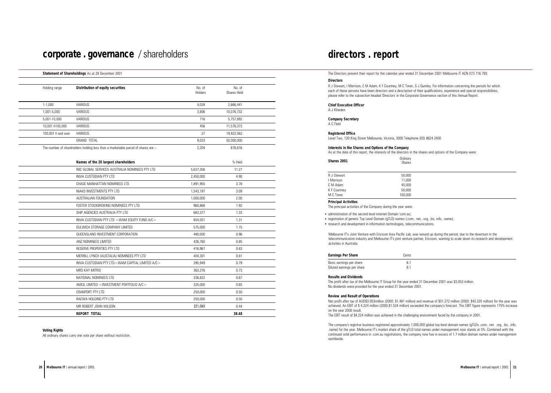#### **Principal Activities**

The principal activities of the Company during the year were:

• administration of the second level internet Domain 'com.au';

registration of generic Top Level Domain (gTLD) names (.com, .net, .org, .biz, info, .name);

• research and development in information technologies, telecommunications.

Melbourne IT's Joint Venture with Ericsson Asia Pacific Lab, was wound up during the period, due to the downturn in the telecommunication industry and Melbourne IT's joint venture partner, Ericsson, wanting to scale down its research and development activities in Australia.

| <b>Earnings Per Share</b>  | Cents |
|----------------------------|-------|
| Basic earnings per share   | 61    |
| Diluted earnings per share | 61    |

#### **Results and Dividends**

#### **Review and Result of Operations**

The profit after tax of the Melbourne IT Group for the year ended 31 December 2001 was \$3.053 million. No dividends were provided for the year ended 31 December 2001.

Net profit after tax of AUD\$3.053million (2000: \$1.481 million) and revenue of \$51.272 million (2000: \$43.320 million) for the year was achieved. An EBIT of \$ 4.224 million (2000:\$1.534 million) exceeded the company's forecast. This EBIT figure represents 175% increase on the year 2000 result. The EBIT result of \$4.224 million was achieved in the challenging environment faced by the company in 2001.

The company's registrar business registered approximately 1,000,000 global top level domain names (gTLDs .com, .net .org, .biz, .info, .name) for the year. Melbourne IT's market share of the gTLD total names under management now stands at 5%. Combined with the continued solid performance in .com.au registrations, the company now has in excess of 1.7 million domain names under management worldwide.

The Directors present their report for the calendar year ended 31 December 2001 Melbourne IT ACN 073 716 793.

### **Directors**

R J Stewart, I Morrison, C M Adam, K F Courtney, M C Toner, S J Gumley. For information concerning the periods for which each of these persons have been directors and a description of their qualifications, experience and special responsibilities, please refer to the subsection headed 'Directors' in the Corporate Governance section of this Annual Report.

| Shares 2001  | Ordinary<br><b>Shares</b> |
|--------------|---------------------------|
| R J Stewart  | 50,000                    |
| I Morrison   | 11,000                    |
| C M Adam     | 45,000                    |
| K F Courtney | 50,000                    |

#### **Chief Executive Officer**

A J Kloeden

**Company Secretary** A C Field

# **Registered Office**

Level Two, 120 King Street Melbourne, Victoria, 3000 Telephone (03) 8624 2400

# **Interests in the Shares and Options of the Company**

As at the date of this report, the interests of the directors in the shares and options of the Company were:

# **directors . report**

#### **Statement of Shareholdings** As at 28 December 2001

# **corporate . governance** / shareholders

#### **Voting Rights**

All ordinary shares carry one vote per share without restriction.

| Holding range      | Distribution of equity securities                                                 | No. of<br>Holders | No. of<br>Shares Held |  |
|--------------------|-----------------------------------------------------------------------------------|-------------------|-----------------------|--|
| $1-1,000$          | VARIOUS                                                                           | 4,028             | 2,666,441             |  |
| 1,001-5,000        | VARIOUS                                                                           | 3,806             | 10,076,732            |  |
| 5,001-10,000       | VARIOUS                                                                           | 716               | 5,757,892             |  |
| 10,001 ñ100,000    | VARIOUS                                                                           | 456               | 11,576,373            |  |
| 100,001 ñ and over | <b>VARIOUS</b>                                                                    | 27                | 19,922,562            |  |
|                    | <b>GRAND TOTAL</b>                                                                | 9,033             | 50,000,000            |  |
|                    | The number of shareholders holding less than a marketable parcel of shares are :- | 2,204             | 876,616               |  |
|                    | Names of the 20 largest shareholders                                              |                   | % Held                |  |
|                    | RBC GLOBAL SERVICES AUSTRALIA NOMINEES PTY LTD                                    | 5,637,356         | 11.27                 |  |
|                    | INVIA CUSTODIAN PTY LTD                                                           | 2,450,000         | 4.90                  |  |
|                    | CHASE MANHATTAN NOMINEES LTD                                                      | 1,891,955         | 3.78                  |  |
|                    | NIAKO INVESTMENTS PTY LTD                                                         | 1,543,197         | 3.09                  |  |
|                    | AUSTRALIAN FOUNDATION                                                             | 1,000,000         | 2.00                  |  |
|                    | FOSTER STOCKBROKING NOMINEES PTY LTD                                              | 960,868           | 1.92                  |  |
|                    | SHIP AGENCIES AUSTRALIA PTY LTD                                                   | 663,377           | 1.33                  |  |
|                    | INVIA CUSTODIAN PTY LTD <wam a="" c="" equity="" fund=""></wam>                   | 654,051           | 1.31                  |  |
|                    | DULWICH STORAGE COMPANY LIMITED                                                   | 575,000           | 1.15                  |  |
|                    | QUEENSLAND INVESTMENT CORPORATION                                                 | 480,000           | 0.96                  |  |
|                    | ANZ NOMINEES LIMITED                                                              | 426,760           | 0.85                  |  |
|                    | RESERVE PROPERTIES PTY LTD                                                        | 416,967           | 0.83                  |  |
|                    | MERRILL LYNCH (AUSTALIA) NOMINEES PTY LTD                                         | 404,301           | 0.81                  |  |
|                    | INVIA CUSTODIAN PTY LTD <wam a="" c="" capital="" limited=""></wam>               | 395,949           | 0.79                  |  |
|                    | <b>MRS KAY MITRIS</b>                                                             | 363,376           | 0.73                  |  |
|                    | NATIONAL NOMINEES LTD                                                             | 336,822           | 0.67                  |  |
|                    | AMCIL LIMITED <investment a="" c="" portfolio=""></investment>                    | 325,000           | 0.65                  |  |
|                    | CRANPORT PTY LTD                                                                  | 250,000           | 0.50                  |  |
|                    | RACWA HOLDING PTY LTD                                                             | 250,000           | 0.50                  |  |
|                    | MR ROBERT JOHN WILSON                                                             | 221,083           | 0.44                  |  |
|                    | REPORT TOTAL                                                                      |                   | 38.48                 |  |

M C Toner 100,000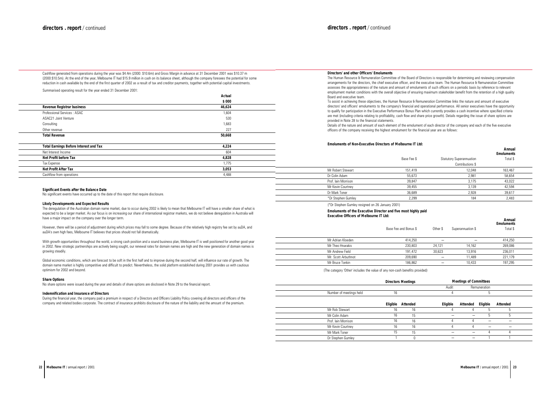# **Directors' and other Officers' Emoluments**

The Human Resource & Remuneration Committee of the Board of Directors is responsible for determining and reviewing compensation arrangements for the directors, the chief executive officer, and the executive team. The Human Resource & Remuneration Committee assesses the appropriateness of the nature and amount of emoluments of such officers on a periodic basis by reference to relevant employment market conditions with the overall objective of ensuring maximum stakeholder benefit from the retention of a high quality Board and executive team. To assist in achieving these objectives, the Human Resource & Remuneration Committee links the nature and amount of executive

directors' and officers' emoluments to the company's financial and operational performance. All senior executives have the opportunity to qualify for participation in the Executive Performance Bonus Plan which currently provides a cash incentive where specified criteria are met (including criteria relating to profitability, cash flow and share price growth). Details regarding the issue of share options are provided in Note 28 to the financial statements.

Details of the nature and amount of each element of the emolument of each director of the company and each of the five executive officers of the company receiving the highest emolument for the financial year are as follows:

## **Emoluments of Non-Executive Directors of Melbourne IT Ltd:**

### (\*Dr Stephen Gumley resigned on 26 January 2001)

#### **Emoluments of the Executive Director and five most highly paid Executive Officers of Melbourne IT Ltd:**

(The category 'Other' includes the value of any non-cash benefits provided)

|                     |             |                                 | Annual<br><b>Emoluments</b> |  |
|---------------------|-------------|---------------------------------|-----------------------------|--|
|                     | Base Fee \$ | <b>Statutory Superannuation</b> | Total \$                    |  |
|                     |             | Contributions \$                |                             |  |
| Mr Robert Stewart   | 151,419     | 12,048                          | 163,467                     |  |
| Dr Colin Adam       | 55,673      | 2,981                           | 58,654                      |  |
| Prof. Iain Morrison | 39,847      | 3,175                           | 43,022                      |  |
| Mr Kevin Courtney   | 39,455      | 3,139                           | 42,594                      |  |
| Dr Mark Toner       | 36,689      | 2,928                           | 39,617                      |  |
| *Dr Stephen Gumley  | 2,299       | 184                             | 2,483                       |  |
|                     |             |                                 |                             |  |

With growth opportunities throughout the world, a strong cash position and a sound business plan, Melbourne IT is well positioned for another good year in 2002. New strategic partnerships are actively being sought, our renewal rates for domain names are high and the new generation of domain names is growing steadily.

|                     | Base Fee and Bonus \$ | Other \$ | Superannuation \$ | Annual<br><b>Emoluments</b><br>Total \$ |
|---------------------|-----------------------|----------|-------------------|-----------------------------------------|
| Mr Adrian Kloeden   | 414,250               |          |                   | 414,250                                 |
| Mr Theo Hnarakis    | 230,803               | 24,121   | 14,162            | 269,086                                 |
| Mr Andrew Field     | 191,472               | 30,623   | 13,916            | 236,011                                 |
| Mr. Scott Arbuthnot | 209,690               |          | 11,489            | 221,179                                 |
| Mr Bruce Tonkin     | 186,862               |          | 10.433            | 197,295                                 |

|                         |          | <b>Directors Meetings</b> |          | <b>Meetings of Committees</b> |               |                 |  |
|-------------------------|----------|---------------------------|----------|-------------------------------|---------------|-----------------|--|
|                         |          |                           | Audit    |                               | Remuneration  |                 |  |
| Number of meetings held | 16       |                           |          |                               | b             |                 |  |
|                         | Eligible | Attended                  | Eligible | Attended                      | Eligible      | <b>Attended</b> |  |
| Mr Rob Stewart          | 16       | 16                        |          |                               | $\mathfrak b$ | b               |  |
| Mr Colin Adam           | 16       | 15                        |          |                               | h             | :מ              |  |
| Prof. Iain Morrison     | 16       | 16                        | 4        |                               |               |                 |  |
| Mr Kevin Courtney       | 16       | 16                        |          |                               |               |                 |  |
| Mr Mark Toner           | 15       | 15                        |          |                               |               | 4               |  |
| Dr Stephen Gumley       |          |                           |          |                               |               |                 |  |
|                         |          |                           |          |                               |               |                 |  |

Summarised operating result for the year ended 31 December 2001:

#### **Significant Events after the Balance Date**

No significant events have occurred up to the date of this report that require disclosure.

#### **Likely Developments and Expected Results**

The deregulation of the Australian domain name market, due to occur during 2002 is likely to mean that Melbourne IT will have a smaller share of what is expected to be a larger market. As our focus is on increasing our share of international registrar markets, we do not believe deregulation in Australia will have a major impact on the company over the longer term.

However, there will be a period of adjustment during which prices may fall to some degree. Because of the relatively high registry fee set by auDA, and auDA's own high fees, Melbourne IT believes that prices should not fall dramatically.

Global economic conditions, which are forecast to be soft in the first half and to improve during the second half, will influence our rate of growth. The domain name market is highly competitive and difficult to predict. Nevertheless, the solid platform established during 2001 provides us with cautious optimism for 2002 and beyond.

#### **Share Options**

No share options were issued during the year and details of share options are disclosed in Note 29 to the financial report.

#### **Indemnification and Insurance of Directors**

During the financial year, the company paid a premium in respect of a Directors and Officers Liability Policy covering all directors and officers of the company and related bodies corporate. The contract of insurance prohibits disclosure of the nature of the liability and the amount of the premium.

Cashflow generated from operations during the year was \$4.4m (2000: \$10.6m) and Gross Margin in advance at 31 December 2001 was \$10.37 m (2000:\$10.5m). At the end of the year, Melbourne IT had \$15.9 million in cash on its balance sheet, although the company foresees the potential for some reduction in cash available by the end of the first quarter of 2002 as a result of tax and creditor payments, together with potential capital investments.

|                                               | Actual |  |
|-----------------------------------------------|--------|--|
|                                               | \$ 000 |  |
| <b>Revenue Registrar business</b>             | 46,624 |  |
| Professional Services: ASAC                   | 1,604  |  |
| ASAC21 Joint Venture                          | 530    |  |
| Consulting                                    | 1,683  |  |
| Other revenue                                 | 227    |  |
| <b>Total Revenue</b>                          | 50,668 |  |
|                                               |        |  |
| <b>Total Earnings Before Interest and Tax</b> | 4,224  |  |
| Net Interest Income                           | 604    |  |

**Net Profit before Tax**

Tax Expense

**Net Profit After Tax** Cashflow from operations **4,828** 1,775 **3,053** 4,488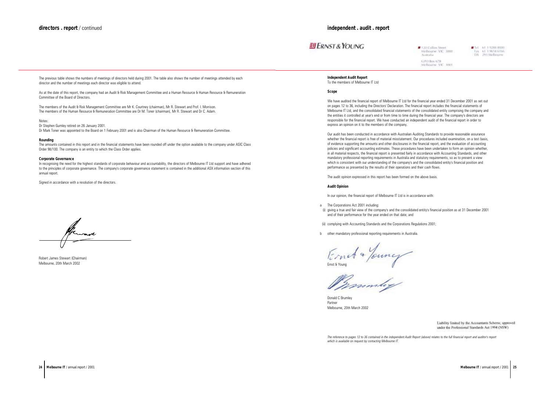

Donald C Brumley Partner Melbourne, 20th March 2002

**Independent Audit Report** To the members of Melbourne IT Ltd

#### **Scope**

We have audited the financial report of Melbourne IT Ltd for the financial year ended 31 December 2001 as set out on pages 12 to 36, including the Directors' Declaration. The financial report includes the financial statements of Melbourne IT Ltd, and the consolidated financial statements of the consolidated entity comprising the company and the entities it controlled at year's end or from time to time during the financial year. The company's directors are responsible for the financial report. We have conducted an independent audit of the financial report in order to express an opinion on it to the members of the company.

Our audit has been conducted in accordance with Australian Auditing Standards to provide reasonable assurance whether the financial report is free of material misstatement. Our procedures included examination, on a test basis, of evidence supporting the amounts and other disclosures in the financial report, and the evaluation of accounting policies and significant accounting estimates. These procedures have been undertaken to form an opinion whether, in all material respects, the financial report is presented fairly in accordance with Accounting Standards, and other mandatory professional reporting requirements in Australia and statutory requirements, so as to present a view which is consistent with our understanding of the company's and the consolidated entity's financial position and performance as presented by the results of their operations and their cash flows.

The audit opinion expressed in this report has been formed on the above basis.

#### **Audit Opinion**

In our opinion, the financial report of Melbourne IT Ltd is in accordance with:

- The Corporations Act 2001 including: a
- (i) giving a true and fair view of the company's and the consolidated entity's financial position as at 31 December 2001 and of their performance for the year ended on that date; and

(ii) complying with Accounting Standards and the Corporations Regulations 2001;

other mandatory professional reporting requirements in Australia. b

Ernet + Young

*The reference to pages 12 to 36 contained in the independent Audit Report (above) relates to the full financial report and auditor's report which is available on request by contacting Melbourne IT.*

120 Collins Street Melbourne: VIC 3000 Australia GPO Box 67B Melhourne, VIC. 3001.

Tel: 61.3.9288.8000 Fax 61.3.9654.6166 DX 291 Melbourne

Liability limited by the Accountants Scheme, approved under the Professional Standards Act 1994 (NSW).

Robert James Stewart (Chairman) Melbourne, 20th March 2002

<span id="page-12-0"></span>The previous table shows the numbers of meetings of directors held during 2001. The table also shows the number of meetings attended by each director and the number of meetings each director was eligible to attend.

As at the date of this report, the company had an Audit & Risk Management Committee and a Human Resource & Human Resource & Remuneration Committee of the Board of Directors.

The members of the Audit & Risk Management Committee are Mr K. Courtney (chairman), Mr R. Stewart and Prof. I. Morrison. The members of the Human Resource & Remuneration Committee are Dr M. Toner (chairman), Mr R. Stewart and Dr C. Adam.

Notes:

Dr Stephen Gumley retired on 26 January 2001.

Dr Mark Toner was appointed to the Board on 1 February 2001 and is also Chairman of the Human Resource & Remuneration Committee.

#### **Rounding**

The amounts contained in this report and in the financial statements have been rounded off under the option available to the company under ASIC Class Order 98/100. The company is an entity to which the Class Order applies.

#### **Corporate Governance**

In recognising the need for the highest standards of corporate behaviour and accountability, the directors of Melbourne IT Ltd support and have adhered to the principles of corporate governance. The company's corporate governance statement is contained in the additional ASX information section of this annual report.

Signed in accordance with a resolution of the directors.

Armade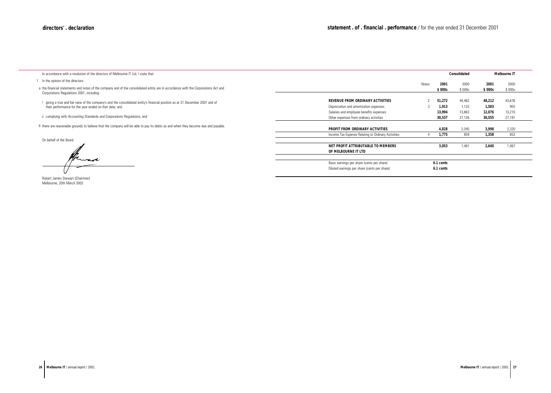<span id="page-13-0"></span>In accordance with a resolution of the directors of Melbourne IT Ltd, I state that:

**REVENUE FROM ORDINARY ACTIVITIES**

Depreciation and amortisation expenses Salaries and employee benefits expenses Other expenses from ordinary activities

## **PROFIT FROM ORDINARY ACTIVITIES**

Income Tax Expense Relating to Ordinary Activities

**NET PROFIT ATTRIBUTABLE TO MEMBERS OF MELBOURNE IT LTD**

Basic earnings per share (cents per share) Diluted earnings per share (cents per share)

|              |           | <b>Consolidated</b> |        | <b>Melbourne IT</b> |  |
|--------------|-----------|---------------------|--------|---------------------|--|
| <b>Notes</b> | 2001      | 2000                | 2001   | 2000                |  |
|              | \$000s    | \$000s              | \$000s | \$000s              |  |
|              |           |                     |        |                     |  |
| 2            | 51,272    | 44,462              | 48,212 | 43,676              |  |
| 3            | 1,913     | 1,133               | 1,583  | 955                 |  |
|              | 13,994    | 13,863              | 12,076 | 13,210              |  |
|              | 30,537    | 27,126              | 30,555 | 27,191              |  |
|              |           |                     |        |                     |  |
|              | 4,828     | 2,340               | 3,998  | 2,320               |  |
| 4            | 1,775     | 859                 | 1,358  | 853                 |  |
|              |           |                     |        |                     |  |
|              | 3,053     | 1,481               | 2,640  | 1,467               |  |
|              |           |                     |        |                     |  |
|              |           |                     |        |                     |  |
|              | 6.1 cents |                     |        |                     |  |
|              | 6.1 cents |                     |        |                     |  |
|              |           |                     |        |                     |  |

- 1 In the opinion of the directors:
- a the financial statements and notes of the company and of the consolidated entity are in accordance with the Corporations Act and Corporations Regulations 2001, including:
- i i giving a true and fair view of the company's and the consolidated entity's financial position as at 31 December 2001 and of their performance for the year ended on that date; and
- ii complying with Accounting Standards and Corporations Regulations; and
- b there are reasonable grounds to believe that the company will be able to pay its debts as and when they become due and payable.

Robert James Stewart (Chairman) Melbourne, 20th March 2002

On behalf of the Board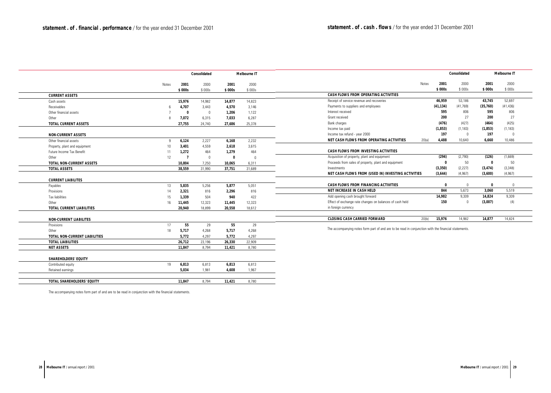|                                      | <b>Consolidated</b> |                | <b>Melbourne IT</b> |             |          |                                                                                                      |              |             |                | Consolidated |                | <b>Melbourne IT</b> |
|--------------------------------------|---------------------|----------------|---------------------|-------------|----------|------------------------------------------------------------------------------------------------------|--------------|-------------|----------------|--------------|----------------|---------------------|
|                                      | Notes               | 2001           | 2000                | 2001        | 2000     |                                                                                                      | <b>Notes</b> | 2001        | 2000           | 2001         | 2000           |                     |
|                                      |                     | \$000s         | \$000s              | \$ 000s     | \$000s   |                                                                                                      |              | \$ 000s     | \$000s         | \$ 000s      | \$000s         |                     |
| <b>CURRENT ASSETS</b>                |                     |                |                     |             |          | <b>CASH FLOWS FROM OPERATING ACTIVITIES</b>                                                          |              |             |                |              |                |                     |
| Cash assets                          |                     | 15,976         | 14,982              | 14,877      | 14,823   | Receipt of service revenue and recoveries                                                            |              | 46,959      | 53,186         | 43,745       | 52,697         |                     |
| Receivables                          |                     | 4,707          | 3,443               | 4,570       | 3,146    | Payments to suppliers and employees                                                                  |              | (41, 134)   | (41, 769)      | (35, 760)    | (41, 436)      |                     |
| Other financial assets               |                     | $\mathbf 0$    | $\overline{0}$      | 1,206       | 1,122    | Interest received                                                                                    |              | 595         | 806            | 595          | 806            |                     |
| Other                                | $\mathsf{R}$        | 7,072          | 6,315               | 7,033       | 6,287    | Grant received                                                                                       |              | 200         | 27             | 200          | 27             |                     |
| <b>TOTAL CURRENT ASSETS</b>          |                     | 27,755         | 24,740              | 27,686      | 25,378   | Bank charges                                                                                         |              | (476)       | (427)          | (464)        | (425)          |                     |
|                                      |                     |                |                     |             |          | Income tax paid                                                                                      |              | (1, 853)    | (1, 183)       | (1, 853)     | (1, 183)       |                     |
| <b>NON-CURRENT ASSETS</b>            |                     |                |                     |             |          | Income tax refund - year 2000                                                                        |              | 197         | $\bigcap$      | 197          | $\overline{0}$ |                     |
| Other financial assets               | 9                   | 6,124          | 2,227               | 6,168       | 2,232    | NET CASH FLOWS FROM OPERATING ACTIVITIES                                                             | 20(a)        | 4,488       | 10,640         | 6,660        | 10,486         |                     |
| Property, plant and equipment        | 10                  | 3,401          | 4,559               | 2,618       | 3,615    |                                                                                                      |              |             |                |              |                |                     |
| Future Income Tax Benefit            | 11                  | 1,272          | 464                 | 1,279       | 464      | <b>CASH FLOWS FROM INVESTING ACTIVITIES</b>                                                          |              |             |                |              |                |                     |
| Other                                | 12                  | $\overline{7}$ | $\overline{0}$      | $\mathbf 0$ | $\Omega$ | Acquisition of property, plant and equipment                                                         |              | (294)       | (2,790)        | (126)        | (1,669)        |                     |
| <b>TOTAL NON-CURRENT ASSETS</b>      |                     | 10,804         | 7,250               | 10.065      | 6,311    | Proceeds from sales of property, plant and equipment                                                 |              | - 0         | 50             | 0            | 50             |                     |
| <b>TOTAL ASSETS</b>                  |                     | 38,559         | 31,990              | 37,751      | 31,689   | Investments                                                                                          |              | (3, 350)    | (2, 227)       | (3, 474)     | (3, 348)       |                     |
|                                      |                     |                |                     |             |          | NET CASH FLOWS FROM (USED IN) INVESTING ACTIVITIES                                                   |              | (3,644)     | (4, 967)       | (3,600)      | (4,967)        |                     |
| <b>CURRENT LIABILITES</b>            |                     |                |                     |             |          |                                                                                                      |              |             |                |              |                |                     |
| Payables                             | 13                  | 5,835          | 5,256               | 5,877       | 5,051    | CASH FLOWS FROM FINANCING ACTIVITIES                                                                 |              | $\mathbf 0$ | $\overline{0}$ | $\mathbf 0$  | $\Omega$       |                     |
| Provisions                           | 14                  | 2,321          | 816                 | 2,296       | 816      | NET INCREASE IN CASH HELD                                                                            |              | 844         | 5,673          | 3,060        | 5,519          |                     |
| <b>Tax liabilities</b>               | 15                  | 1,339          | 504                 | 940         | 422      | Add opening cash brought forward                                                                     |              | 14,982      | 9,309          | 14,824       | 9,309          |                     |
| Other                                | 16                  | 11,445         | 12,323              | 11,445      | 12,323   | Effect of exchange rate changes on balances of cash held                                             |              | 150         | $\overline{0}$ | (3,007)      | (4)            |                     |
| <b>TOTAL CURRENT LIABILITIES</b>     |                     | 20,940         | 18.899              | 20.558      | 18,612   | in foreign currency                                                                                  |              |             |                |              |                |                     |
|                                      |                     |                |                     |             |          |                                                                                                      |              |             |                |              |                |                     |
| <b>NON-CURRENT LIABILITES</b>        |                     |                |                     |             |          | <b>CLOSING CASH CARRIED FORWARD</b>                                                                  | 20(b)        | 15,976      | 14,982         | 14,877       | 14,824         |                     |
| Provisions                           | 17                  | 55             | 29                  | 55          | 29       | The accompanying notes form part of and are to be read in conjunction with the financial statements. |              |             |                |              |                |                     |
| Other                                | 18                  | 5,717          | 4,268               | 5,717       | 4,268    |                                                                                                      |              |             |                |              |                |                     |
| <b>TOTAL NON-CURRENT LIABILITIES</b> |                     | 5,772          | 4.297               | 5,772       | 4,297    |                                                                                                      |              |             |                |              |                |                     |
| <b>TOTAL LIABILITIES</b>             |                     | 26,712         | 23,196              | 26,330      | 22,909   |                                                                                                      |              |             |                |              |                |                     |
| <b>NET ASSETS</b>                    |                     | 11,847         | 8,794               | 11,421      | 8,780    |                                                                                                      |              |             |                |              |                |                     |
|                                      |                     |                |                     |             |          |                                                                                                      |              |             |                |              |                |                     |
| <b>SHAREHOLDERS' EQUITY</b>          |                     |                |                     |             |          |                                                                                                      |              |             |                |              |                |                     |
| Contributed equity                   | 19                  | 6,813          | 6,813               | 6,813       | 6,813    |                                                                                                      |              |             |                |              |                |                     |
| Retained earnings                    |                     | 5,034          | 1,981               | 4,608       | 1,967    |                                                                                                      |              |             |                |              |                |                     |
|                                      |                     |                |                     |             |          |                                                                                                      |              |             |                |              |                |                     |
| <b>TOTAL SHAREHOLDERS' EQUITY</b>    |                     | 11,847         | 8,794               | 11,421      | 8,780    |                                                                                                      |              |             |                |              |                |                     |
|                                      |                     |                |                     |             |          |                                                                                                      |              |             |                |              |                |                     |

The accompanying notes form part of and are to be read in conjunction with the financial statements.